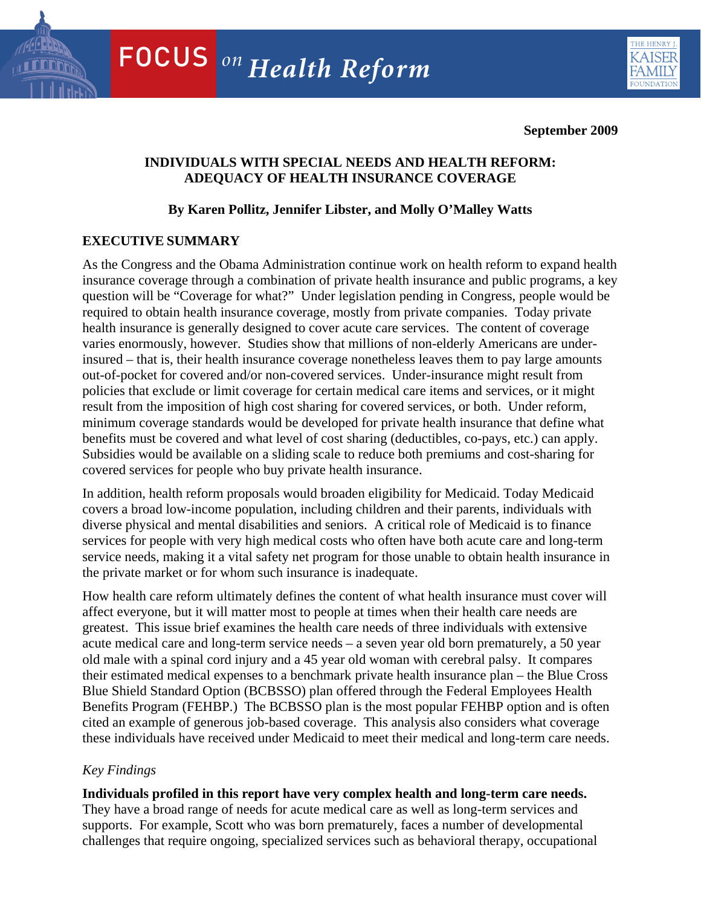

**September 2009** 

# **INDIVIDUALS WITH SPECIAL NEEDS AND HEALTH REFORM: ADEQUACY OF HEALTH INSURANCE COVERAGE**

# **By Karen Pollitz, Jennifer Libster, and Molly O'Malley Watts**

# **EXECUTIVE SUMMARY**

As the Congress and the Obama Administration continue work on health reform to expand health insurance coverage through a combination of private health insurance and public programs, a key question will be "Coverage for what?" Under legislation pending in Congress, people would be required to obtain health insurance coverage, mostly from private companies. Today private health insurance is generally designed to cover acute care services. The content of coverage varies enormously, however. Studies show that millions of non-elderly Americans are underinsured – that is, their health insurance coverage nonetheless leaves them to pay large amounts out-of-pocket for covered and/or non-covered services. Under-insurance might result from policies that exclude or limit coverage for certain medical care items and services, or it might result from the imposition of high cost sharing for covered services, or both. Under reform, minimum coverage standards would be developed for private health insurance that define what benefits must be covered and what level of cost sharing (deductibles, co-pays, etc.) can apply. Subsidies would be available on a sliding scale to reduce both premiums and cost-sharing for covered services for people who buy private health insurance.

In addition, health reform proposals would broaden eligibility for Medicaid. Today Medicaid covers a broad low-income population, including children and their parents, individuals with diverse physical and mental disabilities and seniors. A critical role of Medicaid is to finance services for people with very high medical costs who often have both acute care and long-term service needs, making it a vital safety net program for those unable to obtain health insurance in the private market or for whom such insurance is inadequate.

How health care reform ultimately defines the content of what health insurance must cover will affect everyone, but it will matter most to people at times when their health care needs are greatest. This issue brief examines the health care needs of three individuals with extensive acute medical care and long-term service needs – a seven year old born prematurely, a 50 year old male with a spinal cord injury and a 45 year old woman with cerebral palsy. It compares their estimated medical expenses to a benchmark private health insurance plan – the Blue Cross Blue Shield Standard Option (BCBSSO) plan offered through the Federal Employees Health Benefits Program (FEHBP.) The BCBSSO plan is the most popular FEHBP option and is often cited an example of generous job-based coverage. This analysis also considers what coverage these individuals have received under Medicaid to meet their medical and long-term care needs.

# *Key Findings*

supports. For example, Scott who was born prematurely, faces a number of developmental challenges that require ongoing, specialized services such as behavioral therapy, occupational **Individuals profiled in this report have very complex health and long-term care needs.**  They have a broad range of needs for acute medical care as well as long-term services and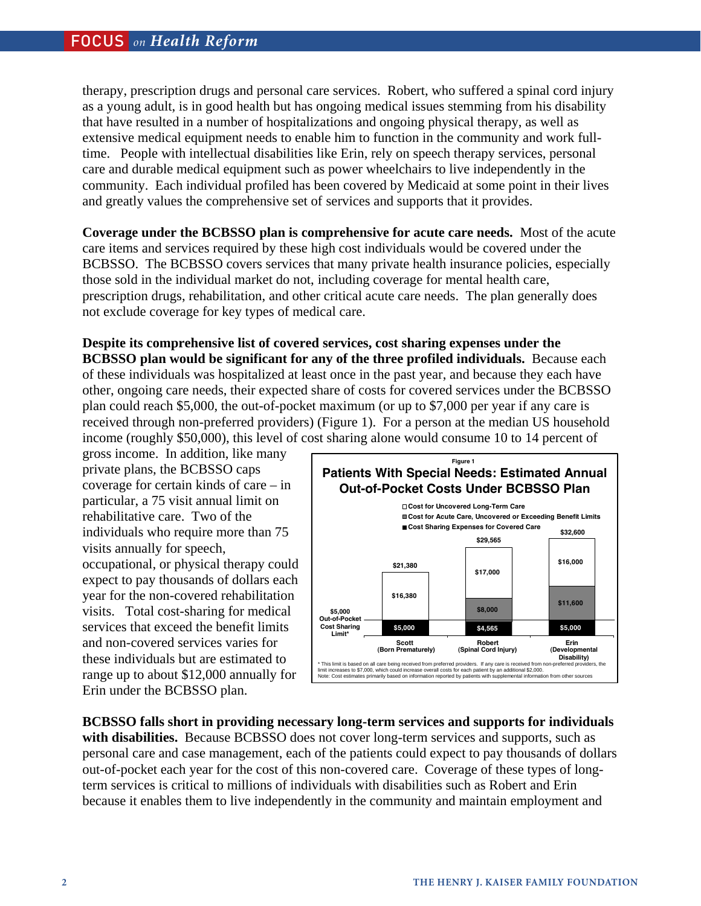therapy, prescription drugs and personal care services. Robert, who suffered a spinal cord injury as a young adult, is in good health but has ongoing medical issues stemming from his disability that have resulted in a number of hospitalizations and ongoing physical therapy, as well as extensive medical equipment needs to enable him to function in the community and work fulltime. People with intellectual disabilities like Erin, rely on speech therapy services, personal care and durable medical equipment such as power wheelchairs to live independently in the community. Each individual profiled has been covered by Medicaid at some point in their lives and greatly values the comprehensive set of services and supports that it provides.

**Coverage under the BCBSSO plan is comprehensive for acute care needs.** Most of the acute care items and services required by these high cost individuals would be covered under the BCBSSO. The BCBSSO covers services that many private health insurance policies, especially those sold in the individual market do not, including coverage for mental health care, prescription drugs, rehabilitation, and other critical acute care needs. The plan generally does not exclude coverage for key types of medical care.

**Despite its comprehensive list of covered services, cost sharing expenses under the BCBSSO plan would be significant for any of the three profiled individuals.** Because each of these individuals was hospitalized at least once in the past year, and because they each have other, ongoing care needs, their expected share of costs for covered services under the BCBSSO plan could reach \$5,000, the out-of-pocket maximum (or up to \$7,000 per year if any care is received through non-preferred providers) (Figure 1). For a person at the median US household income (roughly \$50,000), this level of cost sharing alone would consume 10 to 14 percent of

gross income. In addition, like many private plans, the BCBSSO caps coverage for certain kinds of care – in particular, a 75 visit annual limit on rehabilitative care. Two of the individuals who require more than 75 visits annually for speech, occupational, or physical therapy could expect to pay thousands of dollars each year for the non-covered rehabilitation visits. Total cost-sharing for medical services that exceed the benefit limits and non-covered services varies for these individuals but are estimated to range up to about \$12,000 annually for Erin under the BCBSSO plan.



**BCBSSO falls short in providing necessary long-term services and supports for individuals with disabilities.** Because BCBSSO does not cover long-term services and supports, such as personal care and case management, each of the patients could expect to pay thousands of dollars out-of-pocket each year for the cost of this non-covered care. Coverage of these types of longterm services is critical to millions of individuals with disabilities such as Robert and Erin because it enables them to live independently in the community and maintain employment and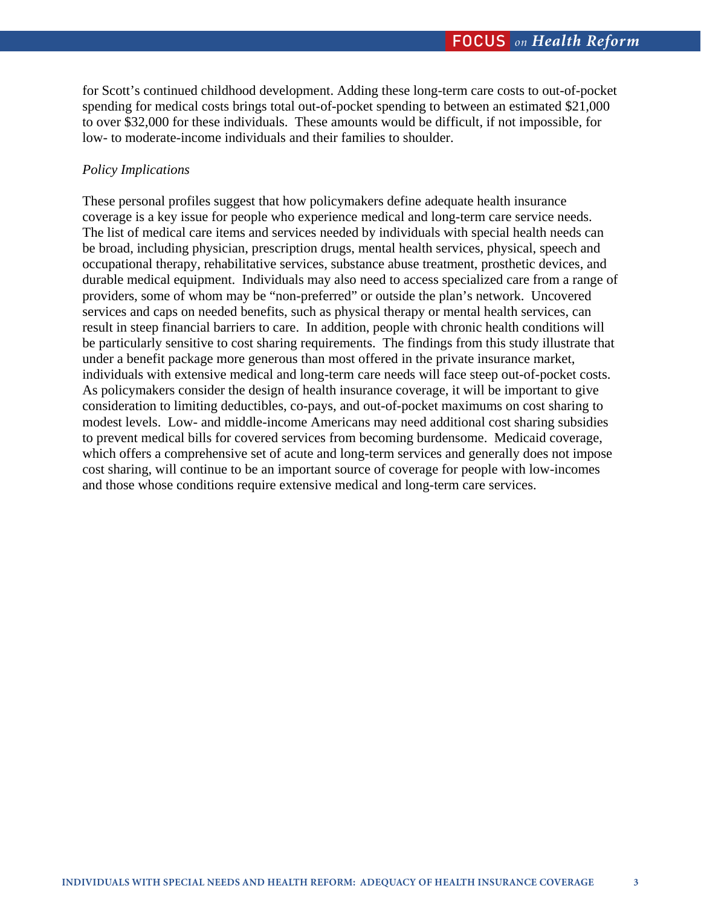for Scott's continued childhood development. Adding these long-term care costs to out-of-pocket spending for medical costs brings total out-of-pocket spending to between an estimated \$21,000 to over \$32,000 for these individuals. These amounts would be difficult, if not impossible, for low- to moderate-income individuals and their families to shoulder.

# *Policy Implications*

These personal profiles suggest that how policymakers define adequate health insurance coverage is a key issue for people who experience medical and long-term care service needs. The list of medical care items and services needed by individuals with special health needs can be broad, including physician, prescription drugs, mental health services, physical, speech and occupational therapy, rehabilitative services, substance abuse treatment, prosthetic devices, and durable medical equipment. Individuals may also need to access specialized care from a range of providers, some of whom may be "non-preferred" or outside the plan's network. Uncovered services and caps on needed benefits, such as physical therapy or mental health services, can result in steep financial barriers to care. In addition, people with chronic health conditions will be particularly sensitive to cost sharing requirements. The findings from this study illustrate that under a benefit package more generous than most offered in the private insurance market, individuals with extensive medical and long-term care needs will face steep out-of-pocket costs. As policymakers consider the design of health insurance coverage, it will be important to give consideration to limiting deductibles, co-pays, and out-of-pocket maximums on cost sharing to modest levels. Low- and middle-income Americans may need additional cost sharing subsidies to prevent medical bills for covered services from becoming burdensome. Medicaid coverage, which offers a comprehensive set of acute and long-term services and generally does not impose cost sharing, will continue to be an important source of coverage for people with low-incomes and those whose conditions require extensive medical and long-term care services.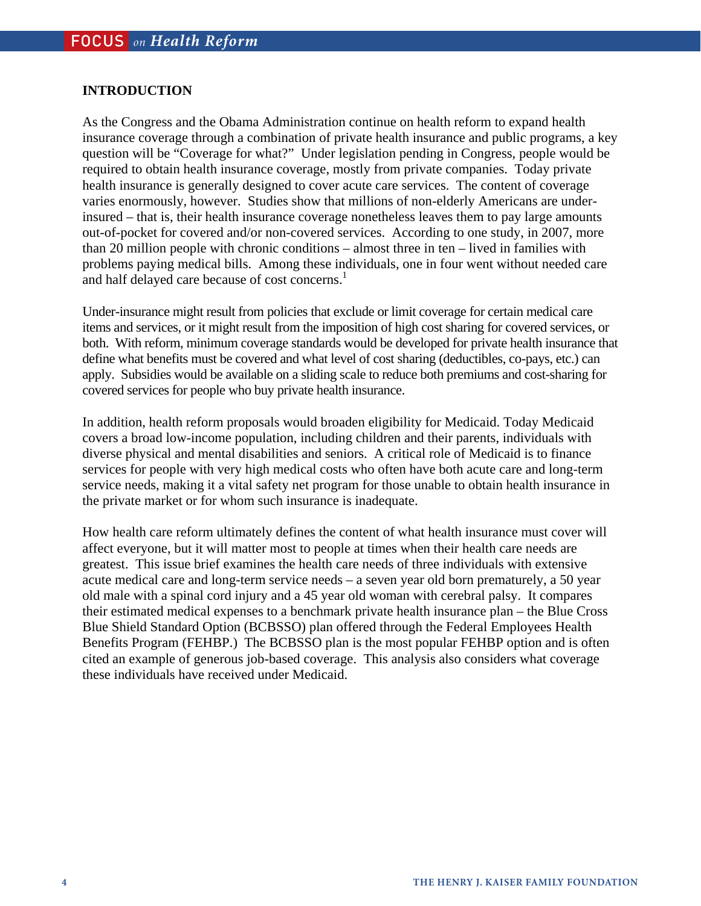# **INTRODUCTION**

As the Congress and the Obama Administration continue on health reform to expand health insurance coverage through a combination of private health insurance and public programs, a key question will be "Coverage for what?" Under legislation pending in Congress, people would be required to obtain health insurance coverage, mostly from private companies. Today private health insurance is generally designed to cover acute care services. The content of coverage varies enormously, however. Studies show that millions of non-elderly Americans are underinsured – that is, their health insurance coverage nonetheless leaves them to pay large amounts out-of-pocket for covered and/or non-covered services. According to one study, in 2007, more than 20 million people with chronic conditions – almost three in ten – lived in families with problems paying medical bills. Among these individuals, one in four went without needed care and half delayed care because of cost concerns.<sup>1</sup>

Under-insurance might result from policies that exclude or limit coverage for certain medical care items and services, or it might result from the imposition of high cost sharing for covered services, or both. With reform, minimum coverage standards would be developed for private health insurance that define what benefits must be covered and what level of cost sharing (deductibles, co-pays, etc.) can apply. Subsidies would be available on a sliding scale to reduce both premiums and cost-sharing for covered services for people who buy private health insurance.

In addition, health reform proposals would broaden eligibility for Medicaid. Today Medicaid covers a broad low-income population, including children and their parents, individuals with diverse physical and mental disabilities and seniors. A critical role of Medicaid is to finance services for people with very high medical costs who often have both acute care and long-term service needs, making it a vital safety net program for those unable to obtain health insurance in the private market or for whom such insurance is inadequate.

How health care reform ultimately defines the content of what health insurance must cover will affect everyone, but it will matter most to people at times when their health care needs are greatest. This issue brief examines the health care needs of three individuals with extensive acute medical care and long-term service needs – a seven year old born prematurely, a 50 year old male with a spinal cord injury and a 45 year old woman with cerebral palsy. It compares their estimated medical expenses to a benchmark private health insurance plan – the Blue Cross Blue Shield Standard Option (BCBSSO) plan offered through the Federal Employees Health Benefits Program (FEHBP.) The BCBSSO plan is the most popular FEHBP option and is often cited an example of generous job-based coverage. This analysis also considers what coverage these individuals have received under Medicaid.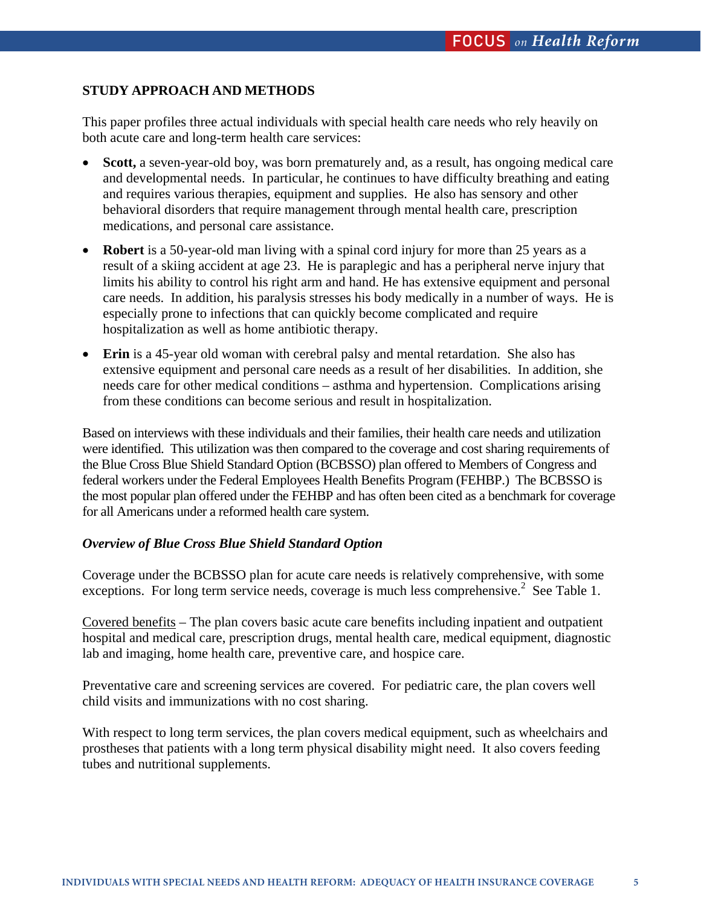# **STUDY APPROACH AND METHODS**

This paper profiles three actual individuals with special health care needs who rely heavily on both acute care and long-term health care services:

- **Scott,** a seven-year-old boy, was born prematurely and, as a result, has ongoing medical care and developmental needs. In particular, he continues to have difficulty breathing and eating and requires various therapies, equipment and supplies. He also has sensory and other behavioral disorders that require management through mental health care, prescription medications, and personal care assistance.
- **Robert** is a 50-year-old man living with a spinal cord injury for more than 25 years as a result of a skiing accident at age 23. He is paraplegic and has a peripheral nerve injury that limits his ability to control his right arm and hand. He has extensive equipment and personal care needs. In addition, his paralysis stresses his body medically in a number of ways. He is especially prone to infections that can quickly become complicated and require hospitalization as well as home antibiotic therapy.
- **Erin** is a 45-year old woman with cerebral palsy and mental retardation. She also has extensive equipment and personal care needs as a result of her disabilities. In addition, she needs care for other medical conditions – asthma and hypertension. Complications arising from these conditions can become serious and result in hospitalization.

Based on interviews with these individuals and their families, their health care needs and utilization were identified. This utilization was then compared to the coverage and cost sharing requirements of the Blue Cross Blue Shield Standard Option (BCBSSO) plan offered to Members of Congress and federal workers under the Federal Employees Health Benefits Program (FEHBP.) The BCBSSO is the most popular plan offered under the FEHBP and has often been cited as a benchmark for coverage for all Americans under a reformed health care system.

# *Overview of Blue Cross Blue Shield Standard Option*

Coverage under the BCBSSO plan for acute care needs is relatively comprehensive, with some exceptions. For long term service needs, coverage is much less comprehensive.<sup>2</sup> See Table 1.

Covered benefits – The plan covers basic acute care benefits including inpatient and outpatient hospital and medical care, prescription drugs, mental health care, medical equipment, diagnostic lab and imaging, home health care, preventive care, and hospice care.

Preventative care and screening services are covered. For pediatric care, the plan covers well child visits and immunizations with no cost sharing.

With respect to long term services, the plan covers medical equipment, such as wheelchairs and prostheses that patients with a long term physical disability might need. It also covers feeding tubes and nutritional supplements.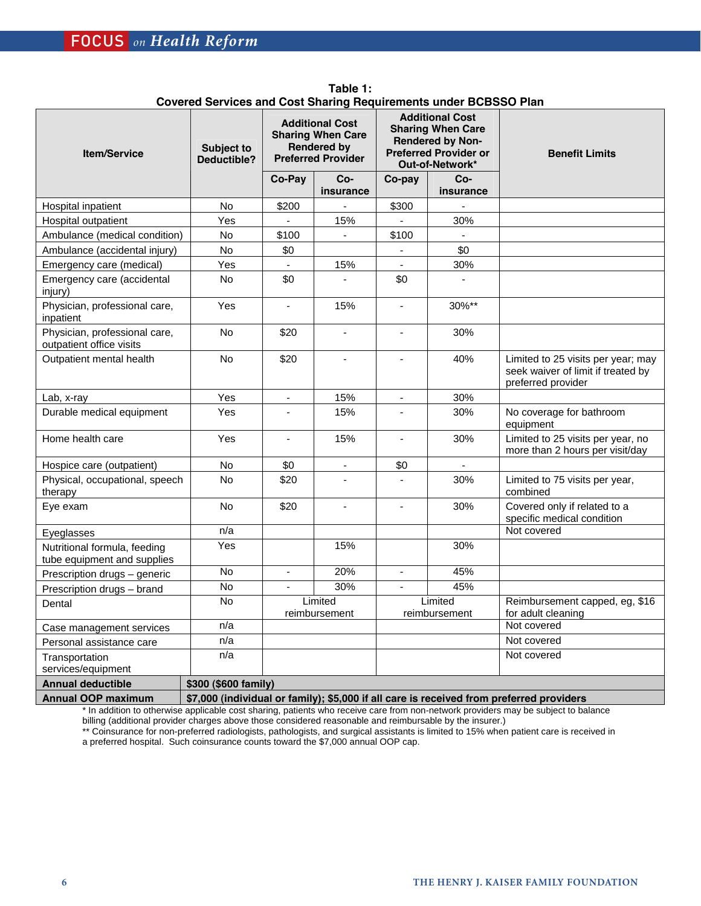| <b>Item/Service</b>                                         | <b>Subject to</b><br><b>Deductible?</b>                                                  | <b>Additional Cost</b><br><b>Sharing When Care</b><br><b>Rendered by</b><br><b>Preferred Provider</b> |                          | oprered oervices and obstronaring riequirements under DODJJO Flan<br><b>Additional Cost</b><br><b>Sharing When Care</b><br><b>Rendered by Non-</b><br><b>Preferred Provider or</b> |                                       | <b>Benefit Limits</b>                                                                          |
|-------------------------------------------------------------|------------------------------------------------------------------------------------------|-------------------------------------------------------------------------------------------------------|--------------------------|------------------------------------------------------------------------------------------------------------------------------------------------------------------------------------|---------------------------------------|------------------------------------------------------------------------------------------------|
|                                                             |                                                                                          | Co-Pay                                                                                                | $Co-$<br>insurance       | Co-pay                                                                                                                                                                             | Out-of-Network*<br>$Co-$<br>insurance |                                                                                                |
| Hospital inpatient                                          | No                                                                                       | \$200                                                                                                 |                          | \$300                                                                                                                                                                              |                                       |                                                                                                |
| Hospital outpatient                                         | Yes                                                                                      |                                                                                                       | 15%                      |                                                                                                                                                                                    | 30%                                   |                                                                                                |
| Ambulance (medical condition)                               | No                                                                                       | \$100                                                                                                 |                          | \$100                                                                                                                                                                              |                                       |                                                                                                |
| Ambulance (accidental injury)                               | No                                                                                       | \$0                                                                                                   |                          |                                                                                                                                                                                    | \$0                                   |                                                                                                |
| Emergency care (medical)                                    | Yes                                                                                      |                                                                                                       | 15%                      | $\overline{\phantom{a}}$                                                                                                                                                           | 30%                                   |                                                                                                |
| Emergency care (accidental<br>injury)                       | <b>No</b>                                                                                | \$0                                                                                                   |                          | \$0                                                                                                                                                                                |                                       |                                                                                                |
| Physician, professional care,<br>inpatient                  | Yes                                                                                      | $\blacksquare$                                                                                        | 15%                      | $\overline{\phantom{a}}$                                                                                                                                                           | 30%**                                 |                                                                                                |
| Physician, professional care,<br>outpatient office visits   | No                                                                                       | \$20                                                                                                  | $\overline{\phantom{a}}$ | $\overline{\phantom{a}}$                                                                                                                                                           | 30%                                   |                                                                                                |
| Outpatient mental health                                    | No                                                                                       | \$20                                                                                                  |                          |                                                                                                                                                                                    | 40%                                   | Limited to 25 visits per year; may<br>seek waiver of limit if treated by<br>preferred provider |
| Lab, x-ray                                                  | Yes                                                                                      | $\omega$                                                                                              | 15%                      | $\blacksquare$                                                                                                                                                                     | 30%                                   |                                                                                                |
| Durable medical equipment                                   | Yes                                                                                      |                                                                                                       | 15%                      |                                                                                                                                                                                    | 30%                                   | No coverage for bathroom<br>equipment                                                          |
| Home health care                                            | Yes                                                                                      | $\blacksquare$                                                                                        | 15%                      | $\mathbf{r}$                                                                                                                                                                       | 30%                                   | Limited to 25 visits per year, no<br>more than 2 hours per visit/day                           |
| Hospice care (outpatient)                                   | No                                                                                       | \$0                                                                                                   | $\blacksquare$           | \$0                                                                                                                                                                                | $\blacksquare$                        |                                                                                                |
| Physical, occupational, speech<br>therapy                   | <b>No</b>                                                                                | \$20                                                                                                  |                          |                                                                                                                                                                                    | 30%                                   | Limited to 75 visits per year,<br>combined                                                     |
| Eye exam                                                    | No                                                                                       | \$20                                                                                                  | $\blacksquare$           | ÷,                                                                                                                                                                                 | 30%                                   | Covered only if related to a<br>specific medical condition                                     |
| Eyeglasses                                                  | n/a                                                                                      |                                                                                                       |                          |                                                                                                                                                                                    |                                       | Not covered                                                                                    |
| Nutritional formula, feeding<br>tube equipment and supplies | Yes                                                                                      |                                                                                                       | 15%                      |                                                                                                                                                                                    | 30%                                   |                                                                                                |
| Prescription drugs - generic                                | No                                                                                       | $\blacksquare$                                                                                        | 20%                      | $\overline{\phantom{a}}$                                                                                                                                                           | 45%                                   |                                                                                                |
| Prescription drugs - brand                                  | No                                                                                       |                                                                                                       | 30%                      | $\blacksquare$                                                                                                                                                                     | 45%                                   |                                                                                                |
| Dental                                                      | No                                                                                       | Limited<br>reimbursement                                                                              |                          | Limited<br>reimbursement                                                                                                                                                           |                                       | Reimbursement capped, eg, \$16<br>for adult cleaning                                           |
| Case management services                                    | n/a                                                                                      |                                                                                                       |                          |                                                                                                                                                                                    |                                       | Not covered                                                                                    |
| Personal assistance care                                    | n/a                                                                                      |                                                                                                       |                          |                                                                                                                                                                                    |                                       | Not covered                                                                                    |
| Transportation<br>services/equipment                        | n/a                                                                                      |                                                                                                       |                          |                                                                                                                                                                                    |                                       | Not covered                                                                                    |
| <b>Annual deductible</b>                                    | \$300 (\$600 family)                                                                     |                                                                                                       |                          |                                                                                                                                                                                    |                                       |                                                                                                |
| <b>Annual OOP maximum</b>                                   | \$7,000 (individual or family); \$5,000 if all care is received from preferred providers |                                                                                                       |                          |                                                                                                                                                                                    |                                       |                                                                                                |

**Table 1: Covered Services and Cost Sharing Requirements under BCBSSO Plan** 

\* In addition to otherwise applicable cost sharing, patients who receive care from non-network providers may be subject to balance billing (additional provider charges above those considered reasonable and reimbursable by the insurer.) \*\* Coinsurance for non-preferred radiologists, pathologists, and surgical assistants is limited to 15% when patient care is received in

a preferred hospital. Such coinsurance counts toward the \$7,000 annual OOP cap.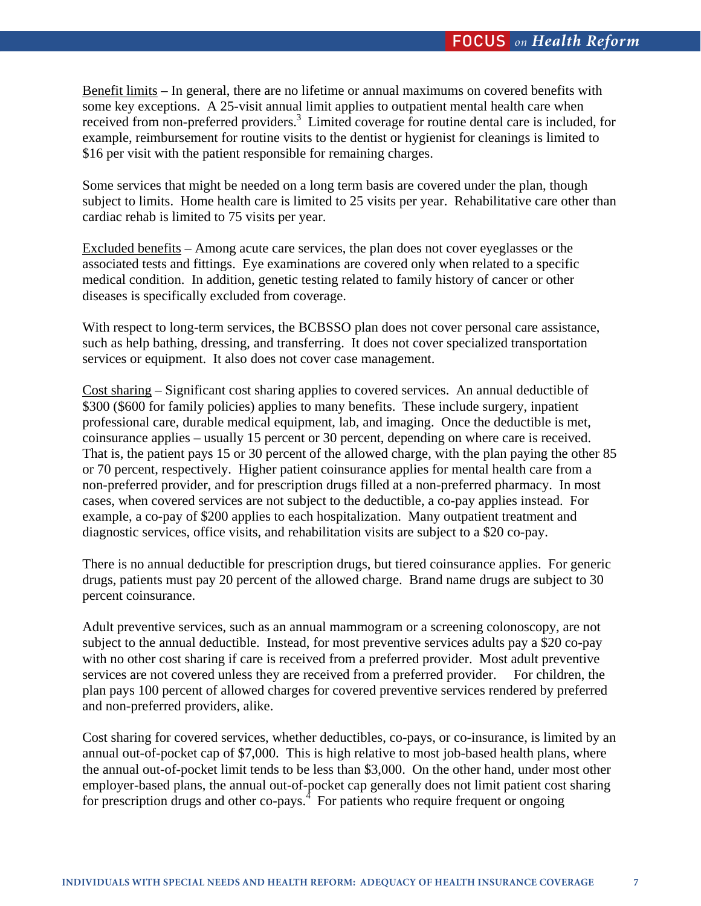Benefit limits – In general, there are no lifetime or annual maximums on covered benefits with some key exceptions. A 25-visit annual limit applies to outpatient mental health care when received from non-preferred providers.<sup>3</sup> Limited coverage for routine dental care is included, for example, reimbursement for routine visits to the dentist or hygienist for cleanings is limited to \$16 per visit with the patient responsible for remaining charges.

Some services that might be needed on a long term basis are covered under the plan, though subject to limits. Home health care is limited to 25 visits per year. Rehabilitative care other than cardiac rehab is limited to 75 visits per year.

Excluded benefits – Among acute care services, the plan does not cover eyeglasses or the associated tests and fittings. Eye examinations are covered only when related to a specific medical condition. In addition, genetic testing related to family history of cancer or other diseases is specifically excluded from coverage.

With respect to long-term services, the BCBSSO plan does not cover personal care assistance, such as help bathing, dressing, and transferring. It does not cover specialized transportation services or equipment. It also does not cover case management.

Cost sharing – Significant cost sharing applies to covered services. An annual deductible of \$300 (\$600 for family policies) applies to many benefits. These include surgery, inpatient professional care, durable medical equipment, lab, and imaging. Once the deductible is met, coinsurance applies – usually 15 percent or 30 percent, depending on where care is received. That is, the patient pays 15 or 30 percent of the allowed charge, with the plan paying the other 85 or 70 percent, respectively. Higher patient coinsurance applies for mental health care from a non-preferred provider, and for prescription drugs filled at a non-preferred pharmacy. In most cases, when covered services are not subject to the deductible, a co-pay applies instead. For example, a co-pay of \$200 applies to each hospitalization. Many outpatient treatment and diagnostic services, office visits, and rehabilitation visits are subject to a \$20 co-pay.

There is no annual deductible for prescription drugs, but tiered coinsurance applies. For generic drugs, patients must pay 20 percent of the allowed charge. Brand name drugs are subject to 30 percent coinsurance.

Adult preventive services, such as an annual mammogram or a screening colonoscopy, are not subject to the annual deductible. Instead, for most preventive services adults pay a \$20 co-pay with no other cost sharing if care is received from a preferred provider. Most adult preventive services are not covered unless they are received from a preferred provider. For children, the plan pays 100 percent of allowed charges for covered preventive services rendered by preferred and non-preferred providers, alike.

Cost sharing for covered services, whether deductibles, co-pays, or co-insurance, is limited by an annual out-of-pocket cap of \$7,000. This is high relative to most job-based health plans, where the annual out-of-pocket limit tends to be less than \$3,000. On the other hand, under most other employer-based plans, the annual out-of-pocket cap generally does not limit patient cost sharing for prescription drugs and other co-pays. $\frac{4}{3}$  For patients who require frequent or ongoing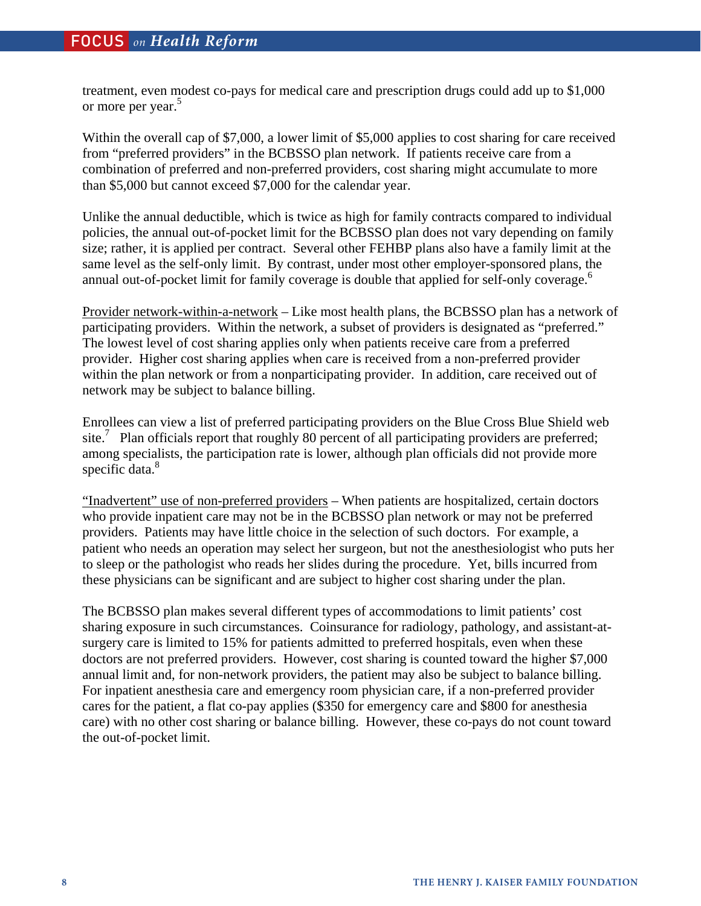treatment, even modest co-pays for medical care and prescription drugs could add up to \$1,000 or more per year.<sup>5</sup>

Within the overall cap of \$7,000, a lower limit of \$5,000 applies to cost sharing for care received from "preferred providers" in the BCBSSO plan network. If patients receive care from a combination of preferred and non-preferred providers, cost sharing might accumulate to more than \$5,000 but cannot exceed \$7,000 for the calendar year.

Unlike the annual deductible, which is twice as high for family contracts compared to individual policies, the annual out-of-pocket limit for the BCBSSO plan does not vary depending on family size; rather, it is applied per contract. Several other FEHBP plans also have a family limit at the same level as the self-only limit. By contrast, under most other employer-sponsored plans, the annual out-of-pocket limit for family coverage is double that applied for self-only coverage.<sup>6</sup>

Provider network-within-a-network – Like most health plans, the BCBSSO plan has a network of participating providers. Within the network, a subset of providers is designated as "preferred." The lowest level of cost sharing applies only when patients receive care from a preferred provider. Higher cost sharing applies when care is received from a non-preferred provider within the plan network or from a nonparticipating provider. In addition, care received out of network may be subject to balance billing.

Enrollees can view a list of preferred participating providers on the Blue Cross Blue Shield web site.<sup>7</sup> Plan officials report that roughly 80 percent of all participating providers are preferred; among specialists, the participation rate is lower, although plan officials did not provide more specific data.<sup>8</sup>

"Inadvertent" use of non-preferred providers – When patients are hospitalized, certain doctors who provide inpatient care may not be in the BCBSSO plan network or may not be preferred providers. Patients may have little choice in the selection of such doctors. For example, a patient who needs an operation may select her surgeon, but not the anesthesiologist who puts her to sleep or the pathologist who reads her slides during the procedure. Yet, bills incurred from these physicians can be significant and are subject to higher cost sharing under the plan.

The BCBSSO plan makes several different types of accommodations to limit patients' cost sharing exposure in such circumstances. Coinsurance for radiology, pathology, and assistant-atsurgery care is limited to 15% for patients admitted to preferred hospitals, even when these doctors are not preferred providers. However, cost sharing is counted toward the higher \$7,000 annual limit and, for non-network providers, the patient may also be subject to balance billing. For inpatient anesthesia care and emergency room physician care, if a non-preferred provider cares for the patient, a flat co-pay applies (\$350 for emergency care and \$800 for anesthesia care) with no other cost sharing or balance billing. However, these co-pays do not count toward the out-of-pocket limit.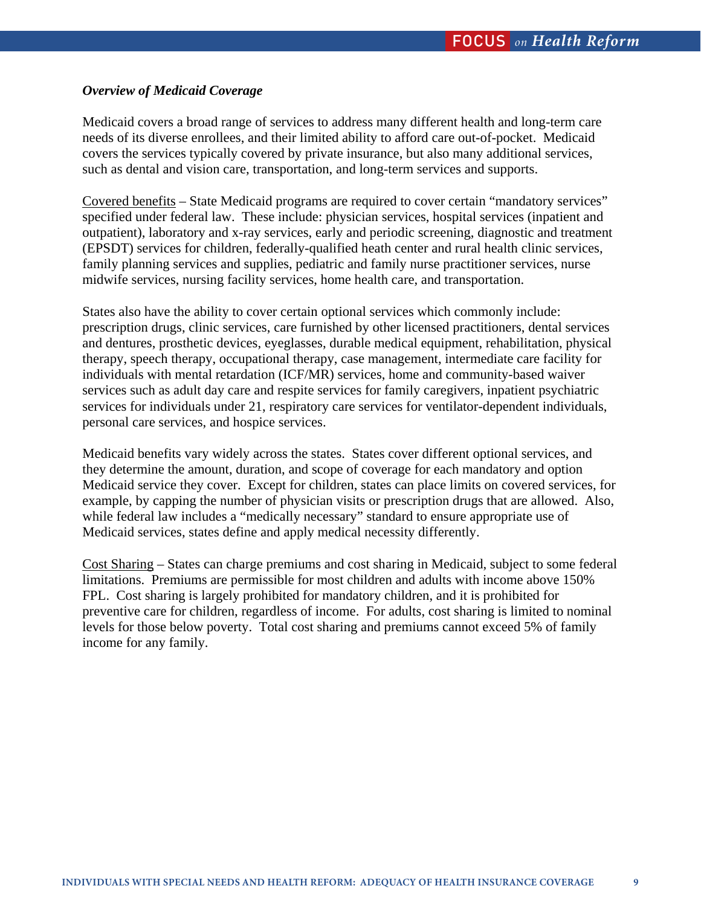# *Overview of Medicaid Coverage*

Medicaid covers a broad range of services to address many different health and long-term care needs of its diverse enrollees, and their limited ability to afford care out-of-pocket. Medicaid covers the services typically covered by private insurance, but also many additional services, such as dental and vision care, transportation, and long-term services and supports.

Covered benefits – State Medicaid programs are required to cover certain "mandatory services" specified under federal law. These include: physician services, hospital services (inpatient and outpatient), laboratory and x-ray services, early and periodic screening, diagnostic and treatment (EPSDT) services for children, federally-qualified heath center and rural health clinic services, family planning services and supplies, pediatric and family nurse practitioner services, nurse midwife services, nursing facility services, home health care, and transportation.

States also have the ability to cover certain optional services which commonly include: prescription drugs, clinic services, care furnished by other licensed practitioners, dental services and dentures, prosthetic devices, eyeglasses, durable medical equipment, rehabilitation, physical therapy, speech therapy, occupational therapy, case management, intermediate care facility for individuals with mental retardation (ICF/MR) services, home and community-based waiver services such as adult day care and respite services for family caregivers, inpatient psychiatric services for individuals under 21, respiratory care services for ventilator-dependent individuals, personal care services, and hospice services.

Medicaid benefits vary widely across the states. States cover different optional services, and they determine the amount, duration, and scope of coverage for each mandatory and option Medicaid service they cover. Except for children, states can place limits on covered services, for example, by capping the number of physician visits or prescription drugs that are allowed. Also, while federal law includes a "medically necessary" standard to ensure appropriate use of Medicaid services, states define and apply medical necessity differently.

Cost Sharing – States can charge premiums and cost sharing in Medicaid, subject to some federal limitations. Premiums are permissible for most children and adults with income above 150% FPL. Cost sharing is largely prohibited for mandatory children, and it is prohibited for preventive care for children, regardless of income. For adults, cost sharing is limited to nominal levels for those below poverty. Total cost sharing and premiums cannot exceed 5% of family income for any family.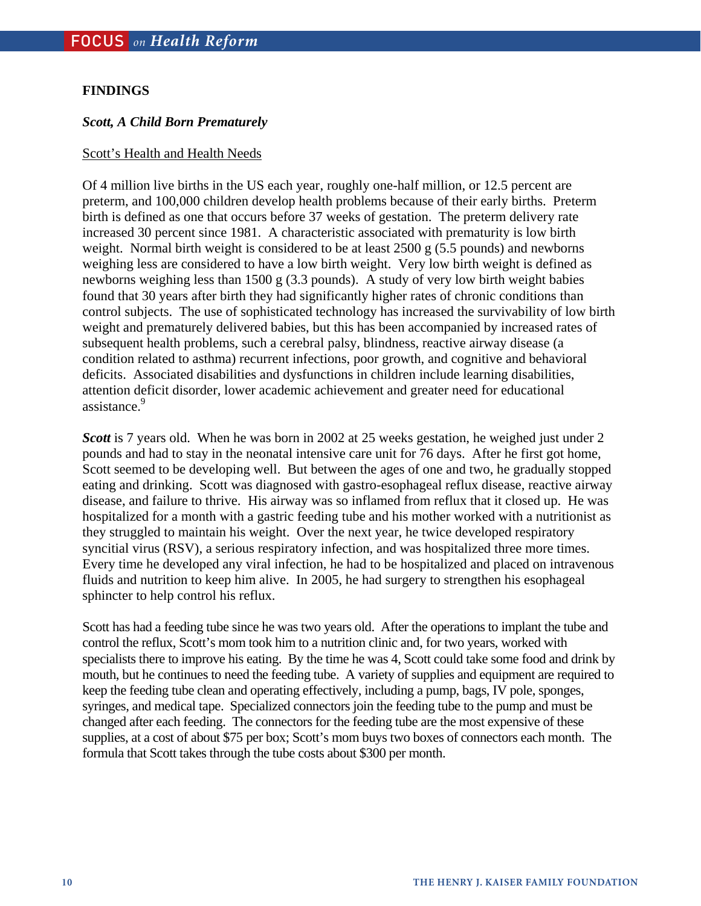# **FINDINGS**

# *Scott, A Child Born Prematurely*

### Scott's Health and Health Needs

Of 4 million live births in the US each year, roughly one-half million, or 12.5 percent are preterm, and 100,000 children develop health problems because of their early births. Preterm birth is defined as one that occurs before 37 weeks of gestation. The preterm delivery rate increased 30 percent since 1981. A characteristic associated with prematurity is low birth weight. Normal birth weight is considered to be at least 2500 g (5.5 pounds) and newborns weighing less are considered to have a low birth weight. Very low birth weight is defined as newborns weighing less than 1500 g (3.3 pounds). A study of very low birth weight babies found that 30 years after birth they had significantly higher rates of chronic conditions than control subjects. The use of sophisticated technology has increased the survivability of low birth weight and prematurely delivered babies, but this has been accompanied by increased rates of subsequent health problems, such a cerebral palsy, blindness, reactive airway disease (a condition related to asthma) recurrent infections, poor growth, and cognitive and behavioral deficits. Associated disabilities and dysfunctions in children include learning disabilities, attention deficit disorder, lower academic achievement and greater need for educational assistance.<sup>9</sup>

*Scott* is 7 years old. When he was born in 2002 at 25 weeks gestation, he weighed just under 2 pounds and had to stay in the neonatal intensive care unit for 76 days. After he first got home, Scott seemed to be developing well. But between the ages of one and two, he gradually stopped eating and drinking. Scott was diagnosed with gastro-esophageal reflux disease, reactive airway disease, and failure to thrive. His airway was so inflamed from reflux that it closed up. He was hospitalized for a month with a gastric feeding tube and his mother worked with a nutritionist as they struggled to maintain his weight. Over the next year, he twice developed respiratory syncitial virus (RSV), a serious respiratory infection, and was hospitalized three more times. Every time he developed any viral infection, he had to be hospitalized and placed on intravenous fluids and nutrition to keep him alive. In 2005, he had surgery to strengthen his esophageal sphincter to help control his reflux.

Scott has had a feeding tube since he was two years old. After the operations to implant the tube and control the reflux, Scott's mom took him to a nutrition clinic and, for two years, worked with specialists there to improve his eating. By the time he was 4, Scott could take some food and drink by mouth, but he continues to need the feeding tube. A variety of supplies and equipment are required to keep the feeding tube clean and operating effectively, including a pump, bags, IV pole, sponges, syringes, and medical tape. Specialized connectors join the feeding tube to the pump and must be changed after each feeding. The connectors for the feeding tube are the most expensive of these supplies, at a cost of about \$75 per box; Scott's mom buys two boxes of connectors each month. The formula that Scott takes through the tube costs about \$300 per month.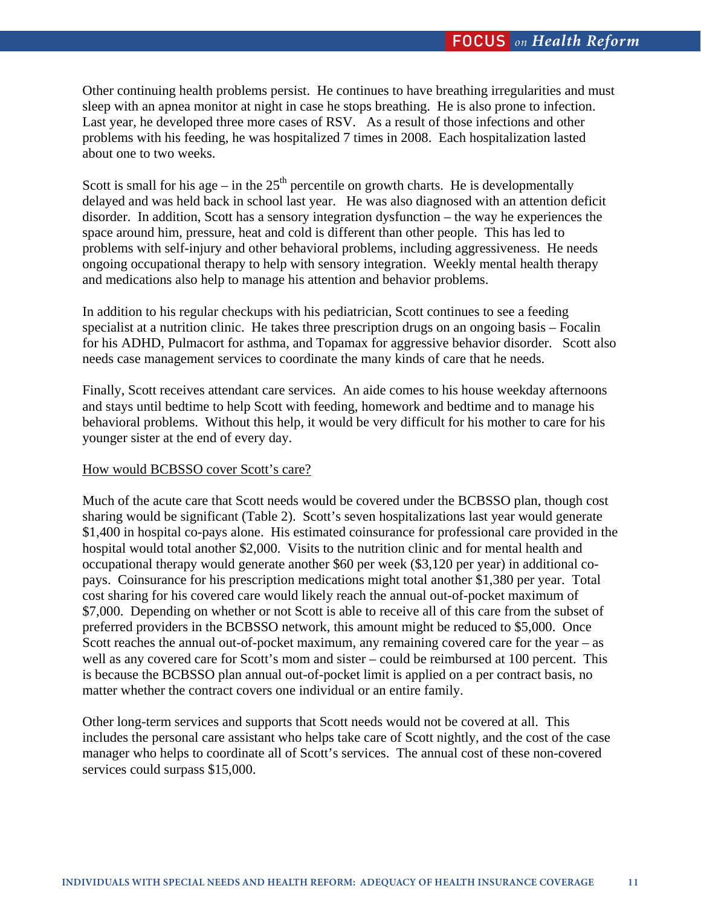Other continuing health problems persist. He continues to have breathing irregularities and must sleep with an apnea monitor at night in case he stops breathing. He is also prone to infection. Last year, he developed three more cases of RSV. As a result of those infections and other problems with his feeding, he was hospitalized 7 times in 2008. Each hospitalization lasted about one to two weeks.

Scott is small for his age – in the  $25<sup>th</sup>$  percentile on growth charts. He is developmentally delayed and was held back in school last year. He was also diagnosed with an attention deficit disorder. In addition, Scott has a sensory integration dysfunction – the way he experiences the space around him, pressure, heat and cold is different than other people. This has led to problems with self-injury and other behavioral problems, including aggressiveness. He needs ongoing occupational therapy to help with sensory integration. Weekly mental health therapy and medications also help to manage his attention and behavior problems.

In addition to his regular checkups with his pediatrician, Scott continues to see a feeding specialist at a nutrition clinic. He takes three prescription drugs on an ongoing basis – Focalin for his ADHD, Pulmacort for asthma, and Topamax for aggressive behavior disorder. Scott also needs case management services to coordinate the many kinds of care that he needs.

Finally, Scott receives attendant care services. An aide comes to his house weekday afternoons and stays until bedtime to help Scott with feeding, homework and bedtime and to manage his behavioral problems. Without this help, it would be very difficult for his mother to care for his younger sister at the end of every day.

# How would BCBSSO cover Scott's care?

Much of the acute care that Scott needs would be covered under the BCBSSO plan, though cost sharing would be significant (Table 2). Scott's seven hospitalizations last year would generate \$1,400 in hospital co-pays alone. His estimated coinsurance for professional care provided in the hospital would total another \$2,000. Visits to the nutrition clinic and for mental health and occupational therapy would generate another \$60 per week (\$3,120 per year) in additional copays. Coinsurance for his prescription medications might total another \$1,380 per year. Total cost sharing for his covered care would likely reach the annual out-of-pocket maximum of \$7,000. Depending on whether or not Scott is able to receive all of this care from the subset of preferred providers in the BCBSSO network, this amount might be reduced to \$5,000. Once Scott reaches the annual out-of-pocket maximum, any remaining covered care for the year – as well as any covered care for Scott's mom and sister – could be reimbursed at 100 percent. This is because the BCBSSO plan annual out-of-pocket limit is applied on a per contract basis, no matter whether the contract covers one individual or an entire family.

Other long-term services and supports that Scott needs would not be covered at all. This includes the personal care assistant who helps take care of Scott nightly, and the cost of the case manager who helps to coordinate all of Scott's services. The annual cost of these non-covered services could surpass \$15,000.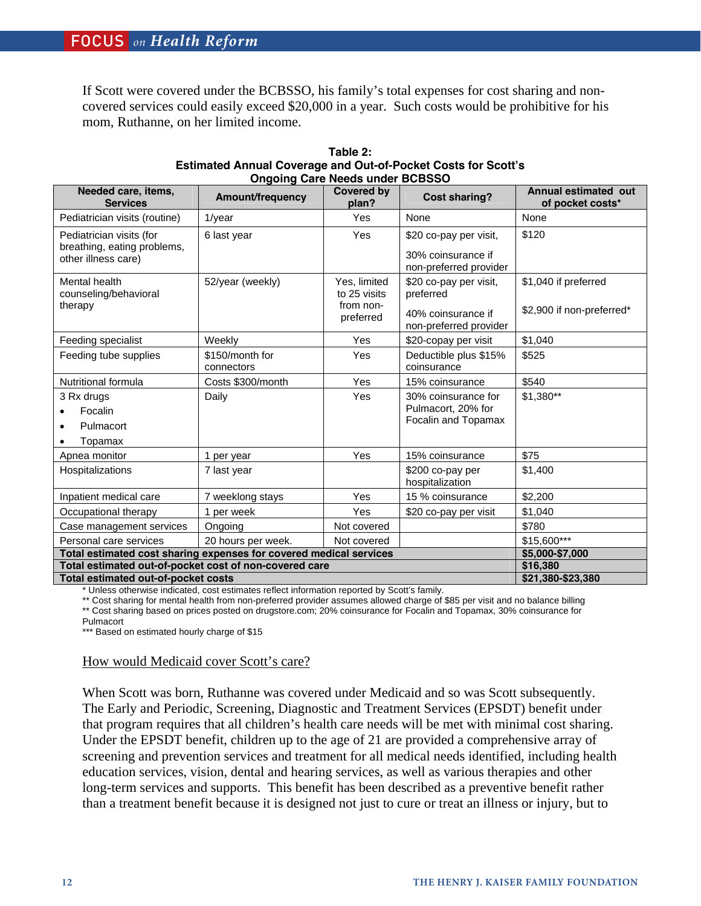If Scott were covered under the BCBSSO, his family's total expenses for cost sharing and noncovered services could easily exceed \$20,000 in a year. Such costs would be prohibitive for his mom, Ruthanne, on her limited income.

| Needed care, items,<br><b>Services</b>                                         | Amount/frequency              | <b>Covered by</b><br>plan?                             | <b>Cost sharing?</b>                                                                | <b>Annual estimated out</b><br>of pocket costs*   |
|--------------------------------------------------------------------------------|-------------------------------|--------------------------------------------------------|-------------------------------------------------------------------------------------|---------------------------------------------------|
| Pediatrician visits (routine)                                                  | $1$ /year                     | Yes                                                    | None                                                                                | None                                              |
| Pediatrician visits (for<br>breathing, eating problems,<br>other illness care) | 6 last year                   | <b>Yes</b>                                             | \$20 co-pay per visit,<br>30% coinsurance if<br>non-preferred provider              | \$120                                             |
| Mental health<br>counseling/behavioral<br>therapy                              | 52/year (weekly)              | Yes, limited<br>to 25 visits<br>from non-<br>preferred | \$20 co-pay per visit,<br>preferred<br>40% coinsurance if<br>non-preferred provider | \$1,040 if preferred<br>\$2,900 if non-preferred* |
| Feeding specialist                                                             | Weekly                        | <b>Yes</b>                                             | \$20-copay per visit                                                                | \$1,040                                           |
| Feeding tube supplies                                                          | \$150/month for<br>connectors | <b>Yes</b>                                             | Deductible plus \$15%<br>coinsurance                                                | \$525                                             |
| Nutritional formula                                                            | Costs \$300/month             | Yes                                                    | 15% coinsurance                                                                     | \$540                                             |
| 3 Rx drugs<br>Focalin<br>Pulmacort<br>Topamax                                  | Daily                         | Yes                                                    | 30% coinsurance for<br>Pulmacort, 20% for<br>Focalin and Topamax                    | $$1,380**$                                        |
| Apnea monitor                                                                  | 1 per year                    | Yes                                                    | 15% coinsurance                                                                     | \$75                                              |
| Hospitalizations                                                               | 7 last year                   |                                                        | \$200 co-pay per<br>hospitalization                                                 | \$1,400                                           |
| Inpatient medical care                                                         | 7 weeklong stays              | <b>Yes</b>                                             | 15 % coinsurance                                                                    | \$2,200                                           |
| Occupational therapy                                                           | 1 per week                    | Yes                                                    | \$20 co-pay per visit                                                               | \$1,040                                           |
| Case management services                                                       | Ongoing                       | Not covered                                            |                                                                                     | \$780                                             |
| Personal care services                                                         | \$15,600***                   |                                                        |                                                                                     |                                                   |
| Total estimated cost sharing expenses for covered medical services             | \$5,000-\$7,000               |                                                        |                                                                                     |                                                   |
| Total estimated out-of-pocket cost of non-covered care                         | \$16,380                      |                                                        |                                                                                     |                                                   |
| Total estimated out-of-pocket costs                                            | \$21,380-\$23,380             |                                                        |                                                                                     |                                                   |

| Table 2:                                                             |  |  |  |  |  |
|----------------------------------------------------------------------|--|--|--|--|--|
| <b>Estimated Annual Coverage and Out-of-Pocket Costs for Scott's</b> |  |  |  |  |  |
| <b>Ongoing Care Needs under BCBSSO</b>                               |  |  |  |  |  |

\* Unless otherwise indicated, cost estimates reflect information reported by Scott's family.

\*\* Cost sharing for mental health from non-preferred provider assumes allowed charge of \$85 per visit and no balance billing \*\* Cost sharing based on prices posted on drugstore.com; 20% coinsurance for Focalin and Topamax, 30% coinsurance for

Pulmacort

\*\*\* Based on estimated hourly charge of \$15

#### How would Medicaid cover Scott's care?

When Scott was born, Ruthanne was covered under Medicaid and so was Scott subsequently. The Early and Periodic, Screening, Diagnostic and Treatment Services (EPSDT) benefit under that program requires that all children's health care needs will be met with minimal cost sharing. Under the EPSDT benefit, children up to the age of 21 are provided a comprehensive array of screening and prevention services and treatment for all medical needs identified, including health education services, vision, dental and hearing services, as well as various therapies and other long-term services and supports. This benefit has been described as a preventive benefit rather than a treatment benefit because it is designed not just to cure or treat an illness or injury, but to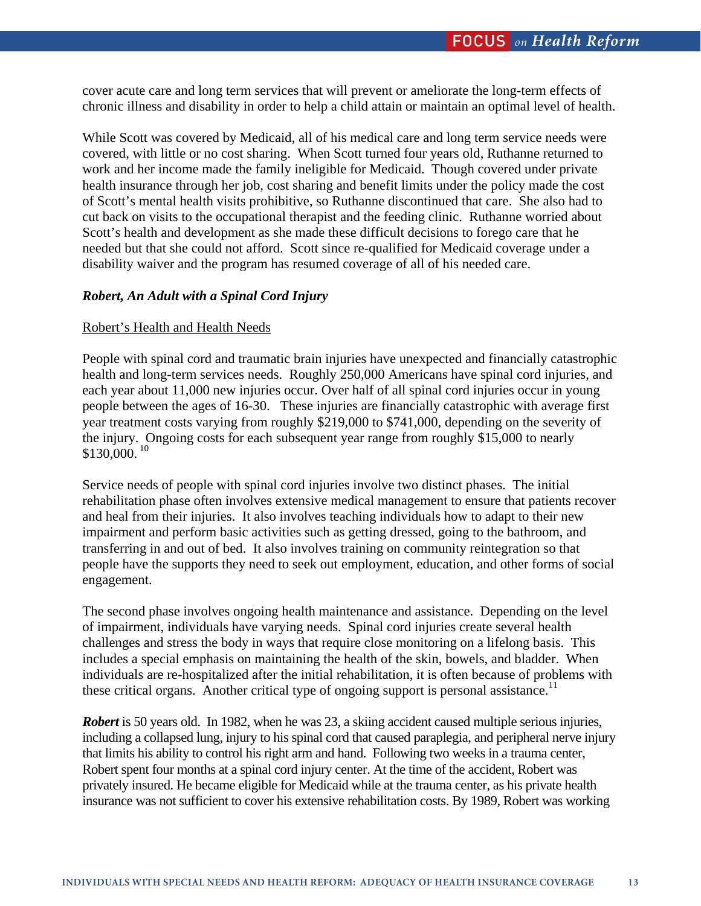cover acute care and long term services that will prevent or ameliorate the long-term effects of chronic illness and disability in order to help a child attain or maintain an optimal level of health.

While Scott was covered by Medicaid, all of his medical care and long term service needs were covered, with little or no cost sharing. When Scott turned four years old, Ruthanne returned to work and her income made the family ineligible for Medicaid. Though covered under private health insurance through her job, cost sharing and benefit limits under the policy made the cost of Scott's mental health visits prohibitive, so Ruthanne discontinued that care. She also had to cut back on visits to the occupational therapist and the feeding clinic. Ruthanne worried about Scott's health and development as she made these difficult decisions to forego care that he needed but that she could not afford. Scott since re-qualified for Medicaid coverage under a disability waiver and the program has resumed coverage of all of his needed care.

# *Robert, An Adult with a Spinal Cord Injury*

### Robert's Health and Health Needs

People with spinal cord and traumatic brain injuries have unexpected and financially catastrophic health and long-term services needs. Roughly 250,000 Americans have spinal cord injuries, and each year about 11,000 new injuries occur. Over half of all spinal cord injuries occur in young people between the ages of 16-30. These injuries are financially catastrophic with average first year treatment costs varying from roughly \$219,000 to \$741,000, depending on the severity of the injury. Ongoing costs for each subsequent year range from roughly \$15,000 to nearly  $$130,000.<sup>10</sup>$ 

Service needs of people with spinal cord injuries involve two distinct phases. The initial rehabilitation phase often involves extensive medical management to ensure that patients recover and heal from their injuries. It also involves teaching individuals how to adapt to their new impairment and perform basic activities such as getting dressed, going to the bathroom, and transferring in and out of bed. It also involves training on community reintegration so that people have the supports they need to seek out employment, education, and other forms of social engagement.

The second phase involves ongoing health maintenance and assistance. Depending on the level of impairment, individuals have varying needs. Spinal cord injuries create several health challenges and stress the body in ways that require close monitoring on a lifelong basis. This includes a special emphasis on maintaining the health of the skin, bowels, and bladder. When individuals are re-hospitalized after the initial rehabilitation, it is often because of problems with these critical organs. Another critical type of ongoing support is personal assistance.<sup>11</sup>

*Robert* is 50 years old. In 1982, when he was 23, a skiing accident caused multiple serious injuries, including a collapsed lung, injury to his spinal cord that caused paraplegia, and peripheral nerve injury that limits his ability to control his right arm and hand. Following two weeks in a trauma center, Robert spent four months at a spinal cord injury center. At the time of the accident, Robert was privately insured. He became eligible for Medicaid while at the trauma center, as his private health insurance was not sufficient to cover his extensive rehabilitation costs. By 1989, Robert was working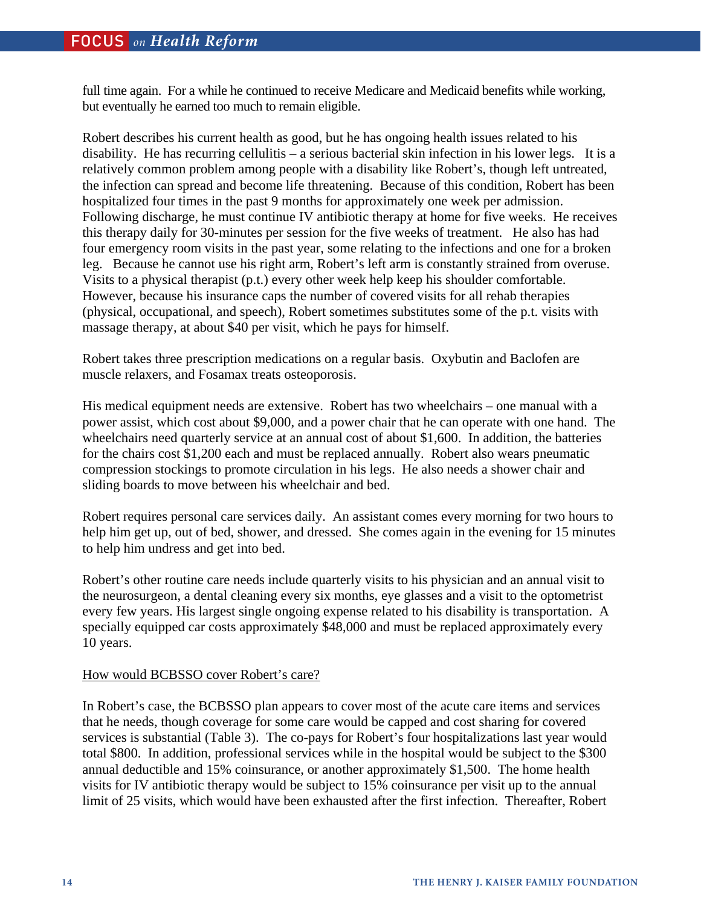full time again. For a while he continued to receive Medicare and Medicaid benefits while working, but eventually he earned too much to remain eligible.

Robert describes his current health as good, but he has ongoing health issues related to his disability. He has recurring cellulitis – a serious bacterial skin infection in his lower legs. It is a relatively common problem among people with a disability like Robert's, though left untreated, the infection can spread and become life threatening. Because of this condition, Robert has been hospitalized four times in the past 9 months for approximately one week per admission. Following discharge, he must continue IV antibiotic therapy at home for five weeks. He receives this therapy daily for 30-minutes per session for the five weeks of treatment. He also has had four emergency room visits in the past year, some relating to the infections and one for a broken leg. Because he cannot use his right arm, Robert's left arm is constantly strained from overuse. Visits to a physical therapist (p.t.) every other week help keep his shoulder comfortable. However, because his insurance caps the number of covered visits for all rehab therapies (physical, occupational, and speech), Robert sometimes substitutes some of the p.t. visits with massage therapy, at about \$40 per visit, which he pays for himself.

Robert takes three prescription medications on a regular basis. Oxybutin and Baclofen are muscle relaxers, and Fosamax treats osteoporosis.

His medical equipment needs are extensive. Robert has two wheelchairs – one manual with a power assist, which cost about \$9,000, and a power chair that he can operate with one hand. The wheelchairs need quarterly service at an annual cost of about \$1,600. In addition, the batteries for the chairs cost \$1,200 each and must be replaced annually. Robert also wears pneumatic compression stockings to promote circulation in his legs. He also needs a shower chair and sliding boards to move between his wheelchair and bed.

Robert requires personal care services daily. An assistant comes every morning for two hours to help him get up, out of bed, shower, and dressed. She comes again in the evening for 15 minutes to help him undress and get into bed.

Robert's other routine care needs include quarterly visits to his physician and an annual visit to the neurosurgeon, a dental cleaning every six months, eye glasses and a visit to the optometrist every few years. His largest single ongoing expense related to his disability is transportation. A specially equipped car costs approximately \$48,000 and must be replaced approximately every 10 years.

# How would BCBSSO cover Robert's care?

In Robert's case, the BCBSSO plan appears to cover most of the acute care items and services that he needs, though coverage for some care would be capped and cost sharing for covered services is substantial (Table 3). The co-pays for Robert's four hospitalizations last year would total \$800. In addition, professional services while in the hospital would be subject to the \$300 annual deductible and 15% coinsurance, or another approximately \$1,500. The home health visits for IV antibiotic therapy would be subject to 15% coinsurance per visit up to the annual limit of 25 visits, which would have been exhausted after the first infection. Thereafter, Robert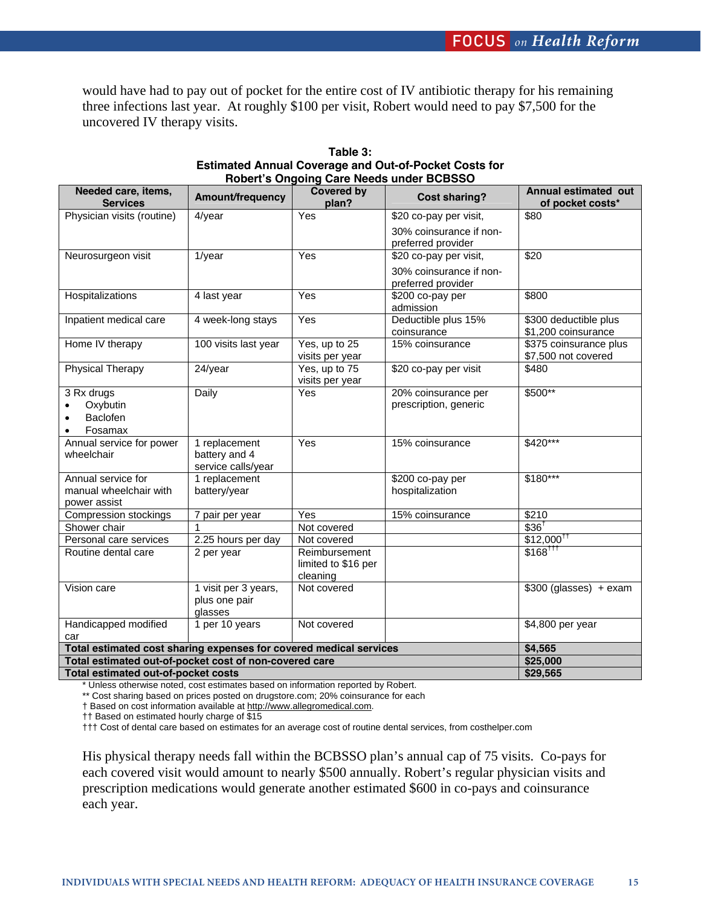would have had to pay out of pocket for the entire cost of IV antibiotic therapy for his remaining three infections last year. At roughly \$100 per visit, Robert would need to pay \$7,500 for the uncovered IV therapy visits.

| Needed care, items,<br><b>Services</b>                                               | Amount/frequency                                     | Covered by<br>plan?                              | <b>Cost sharing?</b>                          | Annual estimated out<br>of pocket costs*      |
|--------------------------------------------------------------------------------------|------------------------------------------------------|--------------------------------------------------|-----------------------------------------------|-----------------------------------------------|
| Physician visits (routine)                                                           | $4$ /year                                            | Yes                                              | \$20 co-pay per visit,                        | \$80                                          |
|                                                                                      |                                                      |                                                  | 30% coinsurance if non-<br>preferred provider |                                               |
| Neurosurgeon visit                                                                   | $1$ /year                                            | Yes                                              | \$20 co-pay per visit,                        | \$20                                          |
|                                                                                      |                                                      |                                                  | 30% coinsurance if non-<br>preferred provider |                                               |
| Hospitalizations                                                                     | 4 last year                                          | Yes                                              | $$200$ co-pay per<br>admission                | \$800                                         |
| Inpatient medical care                                                               | 4 week-long stays                                    | Yes                                              | Deductible plus 15%<br>coinsurance            | \$300 deductible plus<br>\$1,200 coinsurance  |
| Home IV therapy                                                                      | 100 visits last year                                 | $Yes$ , up to 25<br>visits per year              | 15% coinsurance                               | \$375 coinsurance plus<br>\$7,500 not covered |
| Physical Therapy                                                                     | 24/year                                              | Yes, up to 75<br>visits per year                 | \$20 co-pay per visit                         | \$480                                         |
| 3 Rx drugs<br>Oxybutin<br>$\bullet$<br>Baclofen<br>$\bullet$<br>Fosamax<br>$\bullet$ | Daily                                                | <b>Yes</b>                                       | 20% coinsurance per<br>prescription, generic  | \$500**                                       |
| Annual service for power<br>wheelchair                                               | 1 replacement<br>battery and 4<br>service calls/year | Yes                                              | 15% coinsurance                               | $$420***$                                     |
| Annual service for<br>manual wheelchair with<br>power assist                         | 1 replacement<br>battery/year                        |                                                  | \$200 co-pay per<br>hospitalization           | $$180***$                                     |
| Compression stockings                                                                | 7 pair per year                                      | Yes                                              | 15% coinsurance                               | $\overline{$}210$                             |
| Shower chair                                                                         |                                                      | Not covered                                      |                                               | $$36$ <sup>T</sup>                            |
| Personal care services                                                               | 2.25 hours per day                                   | Not covered                                      |                                               | $$12,000$ <sup>††</sup>                       |
| Routine dental care                                                                  | 2 per year                                           | Reimbursement<br>limited to \$16 per<br>cleaning |                                               | $$168$ <sup>TTT</sup>                         |
| Vision care                                                                          | 1 visit per 3 years,<br>plus one pair<br>glasses     | Not covered                                      |                                               | $$300$ (glasses) + exam                       |
| Handicapped modified<br>car                                                          | 1 per 10 years                                       | Not covered                                      |                                               | $\overline{4,800}$ per year                   |
| Total estimated cost sharing expenses for covered medical services                   | \$4,565                                              |                                                  |                                               |                                               |
| Total estimated out-of-pocket cost of non-covered care                               | \$25,000                                             |                                                  |                                               |                                               |
| Total estimated out-of-pocket costs                                                  | \$29,565                                             |                                                  |                                               |                                               |

**Table 3: Estimated Annual Coverage and Out-of-Pocket Costs for Robert's Ongoing Care Needs under BCBSSO** 

\* Unless otherwise noted, cost estimates based on information reported by Robert.

\*\* Cost sharing based on prices posted on drugstore.com; 20% coinsurance for each

† Based on cost information available at http://www.allegromedical.com.

†† Based on estimated hourly charge of \$15

††† Cost of dental care based on estimates for an average cost of routine dental services, from costhelper.com

His physical therapy needs fall within the BCBSSO plan's annual cap of 75 visits. Co-pays for each covered visit would amount to nearly \$500 annually. Robert's regular physician visits and prescription medications would generate another estimated \$600 in co-pays and coinsurance each year.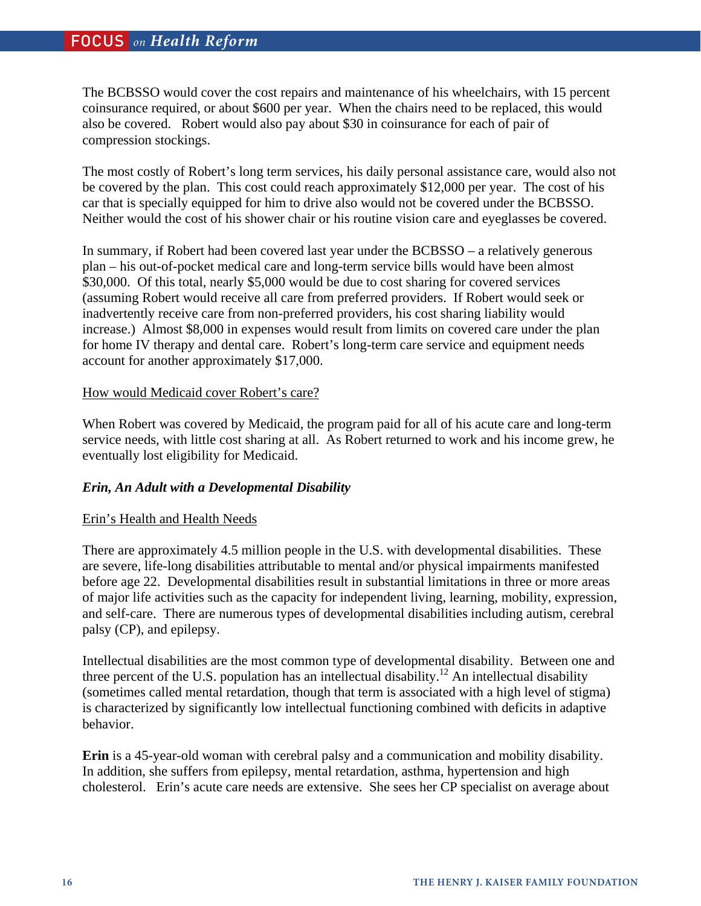The BCBSSO would cover the cost repairs and maintenance of his wheelchairs, with 15 percent coinsurance required, or about \$600 per year. When the chairs need to be replaced, this would also be covered. Robert would also pay about \$30 in coinsurance for each of pair of compression stockings.

The most costly of Robert's long term services, his daily personal assistance care, would also not be covered by the plan. This cost could reach approximately \$12,000 per year. The cost of his car that is specially equipped for him to drive also would not be covered under the BCBSSO. Neither would the cost of his shower chair or his routine vision care and eyeglasses be covered.

In summary, if Robert had been covered last year under the BCBSSO – a relatively generous plan – his out-of-pocket medical care and long-term service bills would have been almost \$30,000. Of this total, nearly \$5,000 would be due to cost sharing for covered services (assuming Robert would receive all care from preferred providers. If Robert would seek or inadvertently receive care from non-preferred providers, his cost sharing liability would increase.) Almost \$8,000 in expenses would result from limits on covered care under the plan for home IV therapy and dental care. Robert's long-term care service and equipment needs account for another approximately \$17,000.

# How would Medicaid cover Robert's care?

When Robert was covered by Medicaid, the program paid for all of his acute care and long-term service needs, with little cost sharing at all. As Robert returned to work and his income grew, he eventually lost eligibility for Medicaid.

# *Erin, An Adult with a Developmental Disability*

# Erin's Health and Health Needs

There are approximately 4.5 million people in the U.S. with developmental disabilities. These are severe, life-long disabilities attributable to mental and/or physical impairments manifested before age 22. Developmental disabilities result in substantial limitations in three or more areas of major life activities such as the capacity for independent living, learning, mobility, expression, and self-care. There are numerous types of developmental disabilities including autism, cerebral palsy (CP), and epilepsy.

Intellectual disabilities are the most common type of developmental disability. Between one and three percent of the U.S. population has an intellectual disability.<sup>12</sup> An intellectual disability (sometimes called mental retardation, though that term is associated with a high level of stigma) is characterized by significantly low intellectual functioning combined with deficits in adaptive behavior.

**Erin** is a 45-year-old woman with cerebral palsy and a communication and mobility disability. In addition, she suffers from epilepsy, mental retardation, asthma, hypertension and high cholesterol. Erin's acute care needs are extensive. She sees her CP specialist on average about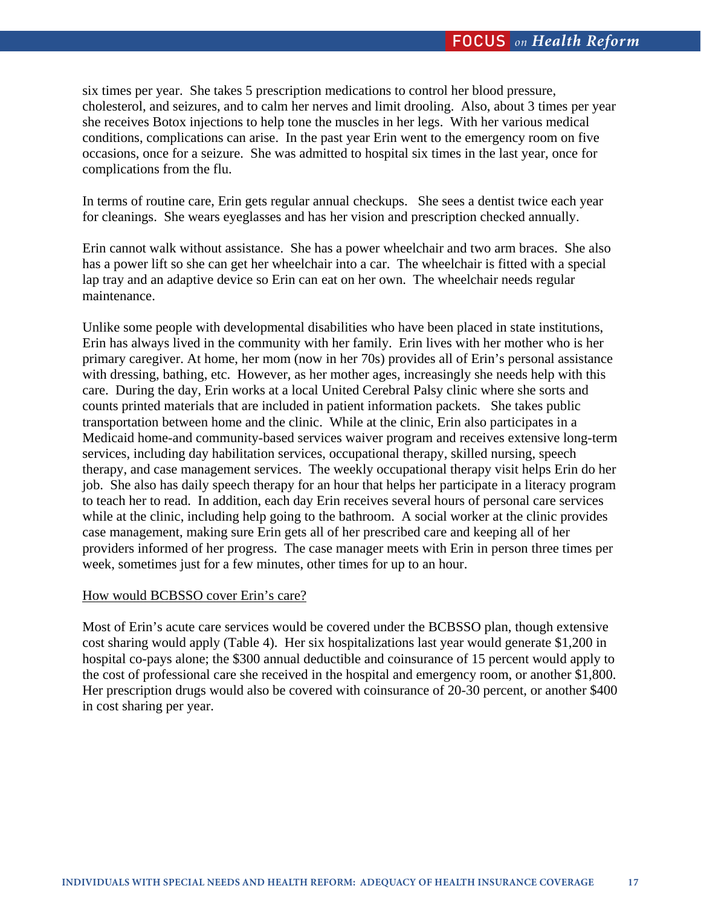six times per year. She takes 5 prescription medications to control her blood pressure, cholesterol, and seizures, and to calm her nerves and limit drooling. Also, about 3 times per year she receives Botox injections to help tone the muscles in her legs. With her various medical conditions, complications can arise. In the past year Erin went to the emergency room on five occasions, once for a seizure. She was admitted to hospital six times in the last year, once for complications from the flu.

In terms of routine care, Erin gets regular annual checkups. She sees a dentist twice each year for cleanings. She wears eyeglasses and has her vision and prescription checked annually.

Erin cannot walk without assistance. She has a power wheelchair and two arm braces. She also has a power lift so she can get her wheelchair into a car. The wheelchair is fitted with a special lap tray and an adaptive device so Erin can eat on her own. The wheelchair needs regular maintenance.

Unlike some people with developmental disabilities who have been placed in state institutions, Erin has always lived in the community with her family. Erin lives with her mother who is her primary caregiver. At home, her mom (now in her 70s) provides all of Erin's personal assistance with dressing, bathing, etc. However, as her mother ages, increasingly she needs help with this care. During the day, Erin works at a local United Cerebral Palsy clinic where she sorts and counts printed materials that are included in patient information packets. She takes public transportation between home and the clinic. While at the clinic, Erin also participates in a Medicaid home-and community-based services waiver program and receives extensive long-term services, including day habilitation services, occupational therapy, skilled nursing, speech therapy, and case management services. The weekly occupational therapy visit helps Erin do her job. She also has daily speech therapy for an hour that helps her participate in a literacy program to teach her to read. In addition, each day Erin receives several hours of personal care services while at the clinic, including help going to the bathroom. A social worker at the clinic provides case management, making sure Erin gets all of her prescribed care and keeping all of her providers informed of her progress. The case manager meets with Erin in person three times per week, sometimes just for a few minutes, other times for up to an hour.

#### How would BCBSSO cover Erin's care?

Most of Erin's acute care services would be covered under the BCBSSO plan, though extensive cost sharing would apply (Table 4). Her six hospitalizations last year would generate \$1,200 in hospital co-pays alone; the \$300 annual deductible and coinsurance of 15 percent would apply to the cost of professional care she received in the hospital and emergency room, or another \$1,800. Her prescription drugs would also be covered with coinsurance of 20-30 percent, or another \$400 in cost sharing per year.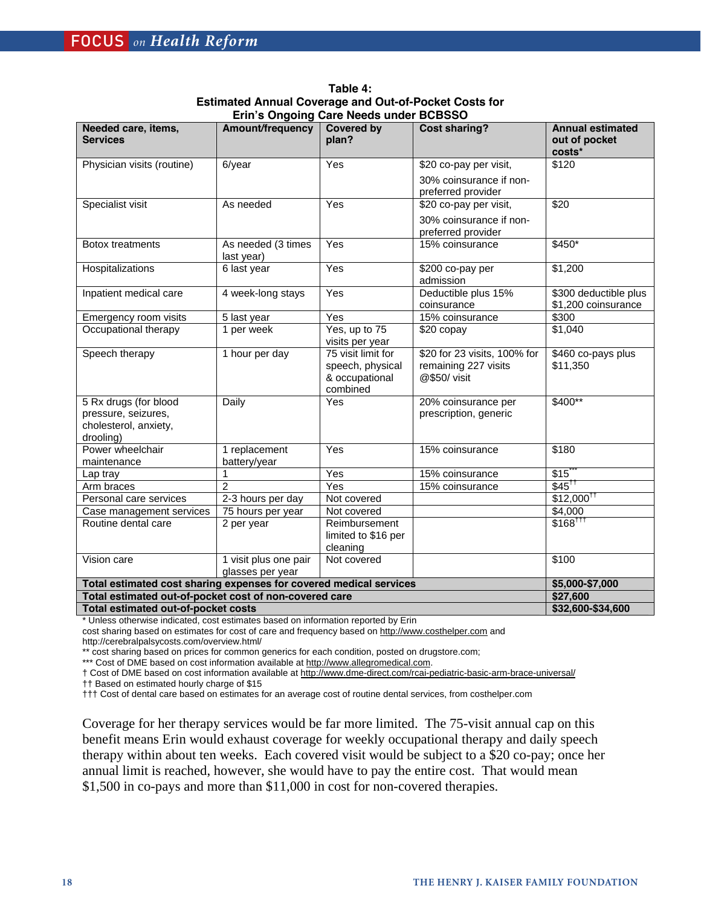| Needed care, items,<br><b>Services</b>                                             | Amount/frequency                          | <b>Covered by</b><br>plan?                                           | <b>Cost sharing?</b>                                                 | <b>Annual estimated</b><br>out of pocket<br>costs* |
|------------------------------------------------------------------------------------|-------------------------------------------|----------------------------------------------------------------------|----------------------------------------------------------------------|----------------------------------------------------|
| Physician visits (routine)                                                         | $6$ /year                                 | Yes                                                                  | \$20 co-pay per visit,                                               | \$120                                              |
|                                                                                    |                                           |                                                                      | 30% coinsurance if non-<br>preferred provider                        |                                                    |
| Specialist visit                                                                   | As needed                                 | Yes                                                                  | \$20 co-pay per visit,                                               | \$20                                               |
|                                                                                    |                                           |                                                                      | 30% coinsurance if non-<br>preferred provider                        |                                                    |
| <b>Botox treatments</b>                                                            | As needed (3 times<br>last year)          | Yes                                                                  | 15% coinsurance                                                      | $$450*$                                            |
| Hospitalizations                                                                   | 6 last year                               | Yes                                                                  | \$200 co-pay per<br>admission                                        | \$1,200                                            |
| Inpatient medical care                                                             | 4 week-long stays                         | Yes                                                                  | Deductible plus 15%<br>coinsurance                                   | \$300 deductible plus<br>\$1,200 coinsurance       |
| Emergency room visits                                                              | 5 last year                               | $\overline{Yes}$                                                     | 15% coinsurance                                                      | \$300                                              |
| Occupational therapy                                                               | 1 per week                                | Yes, up to 75<br>visits per year                                     | \$20 copay                                                           | \$1,040                                            |
| Speech therapy                                                                     | 1 hour per day                            | 75 visit limit for<br>speech, physical<br>& occupational<br>combined | \$20 for 23 visits, 100% for<br>remaining 227 visits<br>@\$50/ visit | \$460 co-pays plus<br>\$11,350                     |
| 5 Rx drugs (for blood<br>pressure, seizures,<br>cholesterol, anxiety,<br>drooling) | Daily                                     | Yes                                                                  | 20% coinsurance per<br>prescription, generic                         | \$400**                                            |
| Power wheelchair<br>maintenance                                                    | 1 replacement<br>battery/year             | Yes                                                                  | 15% coinsurance                                                      | \$180                                              |
| Lap tray                                                                           | 1                                         | Yes                                                                  | 15% coinsurance                                                      | \$15                                               |
| Arm braces                                                                         | $\overline{2}$                            | Yes                                                                  | 15% coinsurance                                                      | $$45^{\dagger7}$                                   |
| Personal care services                                                             | 2-3 hours per day                         | Not covered                                                          |                                                                      | $$12,000$ <sup>††</sup>                            |
| Case management services                                                           | 75 hours per year                         | Not covered                                                          |                                                                      | \$4,000                                            |
| Routine dental care                                                                | 2 per year                                | Reimbursement<br>limited to \$16 per<br>cleaning                     |                                                                      | $$168$ <sup>TTT</sup>                              |
| Vision care                                                                        | 1 visit plus one pair<br>glasses per year | Not covered                                                          |                                                                      | $\overline{$}100$                                  |
| Total estimated cost sharing expenses for covered medical services                 | \$5,000-\$7,000                           |                                                                      |                                                                      |                                                    |
| Total estimated out-of-pocket cost of non-covered care                             |                                           | \$27,600                                                             |                                                                      |                                                    |
| Total estimated out-of-pocket costs                                                | \$32,600-\$34,600                         |                                                                      |                                                                      |                                                    |

**Table 4: Estimated Annual Coverage and Out-of-Pocket Costs for Erin's Ongoing Care Needs under BCBSSO** 

\* Unless otherwise indicated, cost estimates based on information reported by Erin

cost sharing based on estimates for cost of care and frequency based on http://www.costhelper.com and

http://cerebralpalsycosts.com/overview.html/

\*\* cost sharing based on prices for common generics for each condition, posted on drugstore.com;

\*\*\* Cost of DME based on cost information available at http://www.allegromedical.com.

† Cost of DME based on cost information available at http://www.dme-direct.com/rcai-pediatric-basic-arm-brace-universal/

†† Based on estimated hourly charge of \$15

††† Cost of dental care based on estimates for an average cost of routine dental services, from costhelper.com

Coverage for her therapy services would be far more limited. The 75-visit annual cap on this benefit means Erin would exhaust coverage for weekly occupational therapy and daily speech therapy within about ten weeks. Each covered visit would be subject to a \$20 co-pay; once her annual limit is reached, however, she would have to pay the entire cost. That would mean \$1,500 in co-pays and more than \$11,000 in cost for non-covered therapies.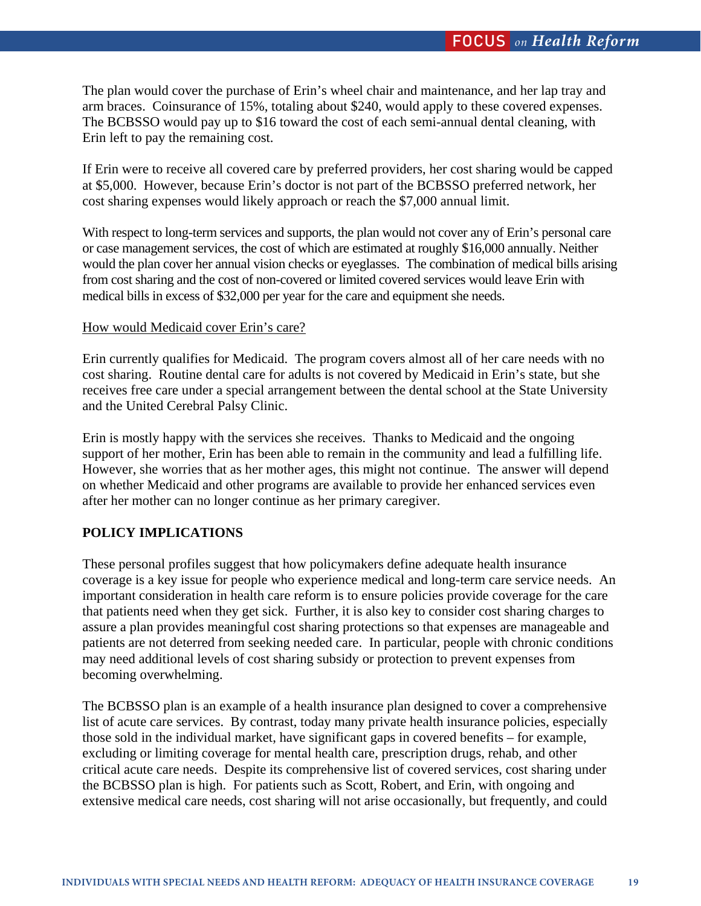The plan would cover the purchase of Erin's wheel chair and maintenance, and her lap tray and arm braces. Coinsurance of 15%, totaling about \$240, would apply to these covered expenses. The BCBSSO would pay up to \$16 toward the cost of each semi-annual dental cleaning, with Erin left to pay the remaining cost.

If Erin were to receive all covered care by preferred providers, her cost sharing would be capped at \$5,000. However, because Erin's doctor is not part of the BCBSSO preferred network, her cost sharing expenses would likely approach or reach the \$7,000 annual limit.

With respect to long-term services and supports, the plan would not cover any of Erin's personal care or case management services, the cost of which are estimated at roughly \$16,000 annually. Neither would the plan cover her annual vision checks or eyeglasses. The combination of medical bills arising from cost sharing and the cost of non-covered or limited covered services would leave Erin with medical bills in excess of \$32,000 per year for the care and equipment she needs.

# How would Medicaid cover Erin's care?

Erin currently qualifies for Medicaid. The program covers almost all of her care needs with no cost sharing. Routine dental care for adults is not covered by Medicaid in Erin's state, but she receives free care under a special arrangement between the dental school at the State University and the United Cerebral Palsy Clinic.

Erin is mostly happy with the services she receives. Thanks to Medicaid and the ongoing support of her mother, Erin has been able to remain in the community and lead a fulfilling life. However, she worries that as her mother ages, this might not continue. The answer will depend on whether Medicaid and other programs are available to provide her enhanced services even after her mother can no longer continue as her primary caregiver.

# **POLICY IMPLICATIONS**

These personal profiles suggest that how policymakers define adequate health insurance coverage is a key issue for people who experience medical and long-term care service needs. An important consideration in health care reform is to ensure policies provide coverage for the care that patients need when they get sick. Further, it is also key to consider cost sharing charges to assure a plan provides meaningful cost sharing protections so that expenses are manageable and patients are not deterred from seeking needed care. In particular, people with chronic conditions may need additional levels of cost sharing subsidy or protection to prevent expenses from becoming overwhelming.

The BCBSSO plan is an example of a health insurance plan designed to cover a comprehensive list of acute care services. By contrast, today many private health insurance policies, especially those sold in the individual market, have significant gaps in covered benefits – for example, excluding or limiting coverage for mental health care, prescription drugs, rehab, and other critical acute care needs. Despite its comprehensive list of covered services, cost sharing under the BCBSSO plan is high. For patients such as Scott, Robert, and Erin, with ongoing and extensive medical care needs, cost sharing will not arise occasionally, but frequently, and could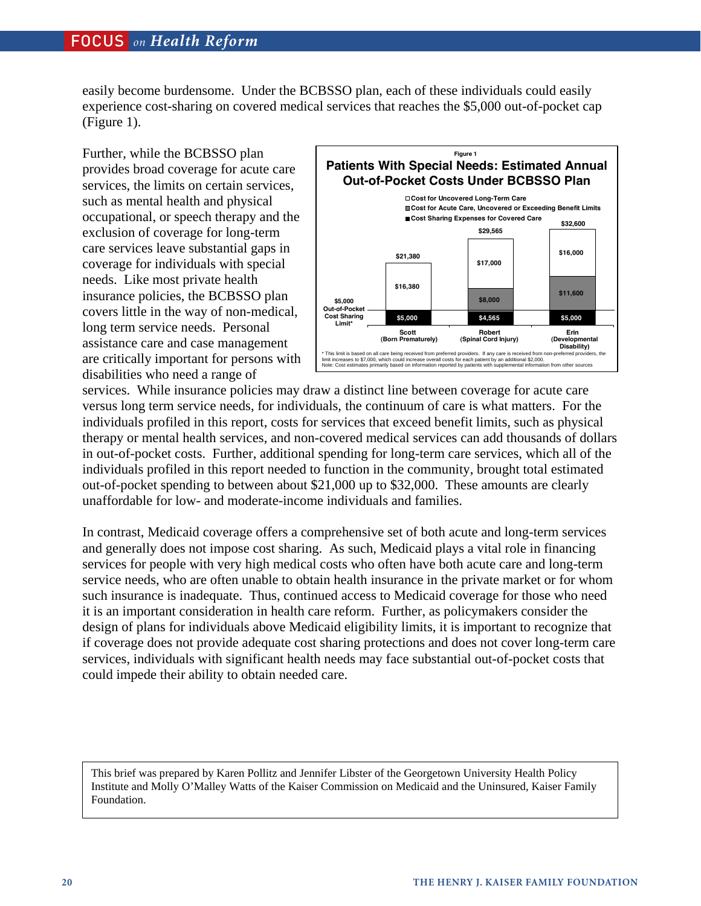easily become burdensome. Under the BCBSSO plan, each of these individuals could easily experience cost-sharing on covered medical services that reaches the \$5,000 out-of-pocket cap (Figure 1).

Further, while the BCBSSO plan provides broad coverage for acute care services, the limits on certain services, such as mental health and physical occupational, or speech therapy and the exclusion of coverage for long-term care services leave substantial gaps in coverage for individuals with special needs. Like most private health insurance policies, the BCBSSO plan covers little in the way of non-medical, long term service needs. Personal assistance care and case management are critically important for persons with disabilities who need a range of



services. While insurance policies may draw a distinct line between coverage for acute care versus long term service needs, for individuals, the continuum of care is what matters. For the individuals profiled in this report, costs for services that exceed benefit limits, such as physical therapy or mental health services, and non-covered medical services can add thousands of dollars in out-of-pocket costs. Further, additional spending for long-term care services, which all of the individuals profiled in this report needed to function in the community, brought total estimated out-of-pocket spending to between about \$21,000 up to \$32,000. These amounts are clearly unaffordable for low- and moderate-income individuals and families.

In contrast, Medicaid coverage offers a comprehensive set of both acute and long-term services and generally does not impose cost sharing. As such, Medicaid plays a vital role in financing services for people with very high medical costs who often have both acute care and long-term service needs, who are often unable to obtain health insurance in the private market or for whom such insurance is inadequate. Thus, continued access to Medicaid coverage for those who need it is an important consideration in health care reform. Further, as policymakers consider the design of plans for individuals above Medicaid eligibility limits, it is important to recognize that if coverage does not provide adequate cost sharing protections and does not cover long-term care services, individuals with significant health needs may face substantial out-of-pocket costs that could impede their ability to obtain needed care.

This brief was prepared by Karen Pollitz and Jennifer Libster of the Georgetown University Health Policy Institute and Molly O'Malley Watts of the Kaiser Commission on Medicaid and the Uninsured, Kaiser Family Foundation.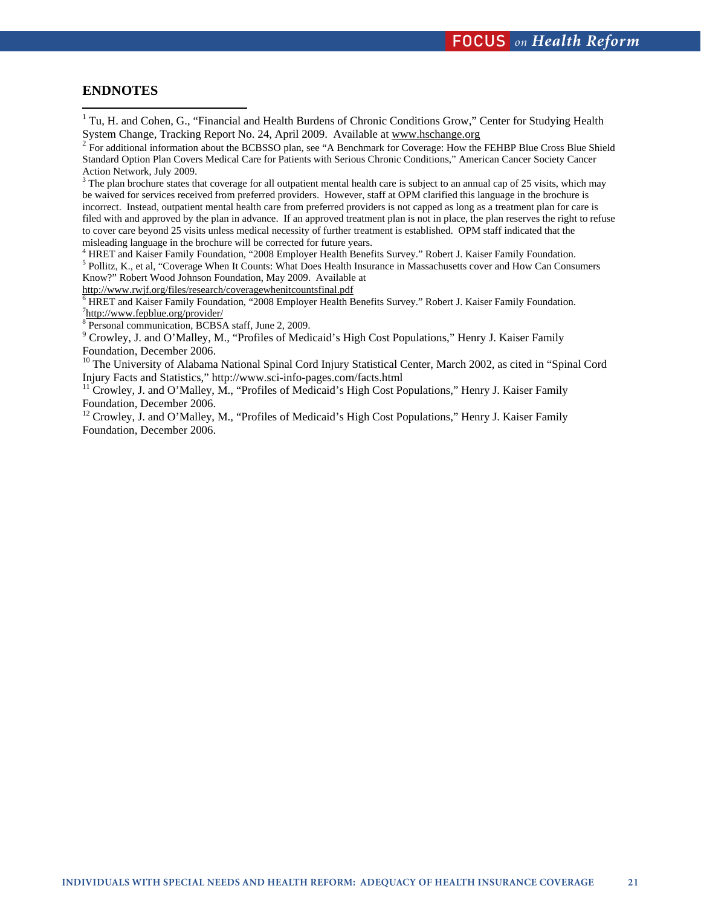# **ENDNOTES**

<sup>1</sup> Tu, H. and Cohen, G., "Financial and Health Burdens of Chronic Conditions Grow," Center for Studying Health System Change, Tracking Report No. 24, April 2009. Available at www.hschange.org

<sup>2</sup> For additional information about the BCBSSO plan, see "A Benchmark for Coverage: How the FEHBP Blue Cross Blue Shield Standard Option Plan Covers Medical Care for Patients with Serious Chronic Conditions," American Cancer Society Cancer Action Network, July 2009.

 $3$  The plan brochure states that coverage for all outpatient mental health care is subject to an annual cap of 25 visits, which may be waived for services received from preferred providers. However, staff at OPM clarified this language in the brochure is incorrect. Instead, outpatient mental health care from preferred providers is not capped as long as a treatment plan for care is filed with and approved by the plan in advance. If an approved treatment plan is not in place, the plan reserves the right to refuse to cover care beyond 25 visits unless medical necessity of further treatment is established. OPM staff indicated that the misleading language in the brochure will be corrected for future years.

<sup>4</sup> HRET and Kaiser Family Foundation, "2008 Employer Health Benefits Survey." Robert J. Kaiser Family Foundation. <sup>5</sup> Pollitz, K., et al, "Coverage When It Counts: What Does Health Insurance in Massachusetts cover and How Can Consumers Know?" Robert Wood Johnson Foundation, May 2009. Available at

http://www.rwjf.org/files/research/coveragewhenitcountsfinal.pdf <sup>6</sup>

 HRET and Kaiser Family Foundation, "2008 Employer Health Benefits Survey." Robert J. Kaiser Family Foundation. <sup>7</sup>http://www.fepblue.org/provider/

8 Personal communication, BCBSA staff, June 2, 2009.

<sup>9</sup> Crowley, J. and O'Malley, M., "Profiles of Medicaid's High Cost Populations," Henry J. Kaiser Family Foundation, December 2006.

<sup>10</sup> The University of Alabama National Spinal Cord Injury Statistical Center, March 2002, as cited in "Spinal Cord Injury Facts and Statistics," http://www.sci-info-pages.com/facts.html

<sup>11</sup> Crowley, J. and O'Malley, M., "Profiles of Medicaid's High Cost Populations," Henry J. Kaiser Family Foundation, December 2006.

<sup>12</sup> Crowley, J. and O'Malley, M., "Profiles of Medicaid's High Cost Populations," Henry J. Kaiser Family Foundation, December 2006.